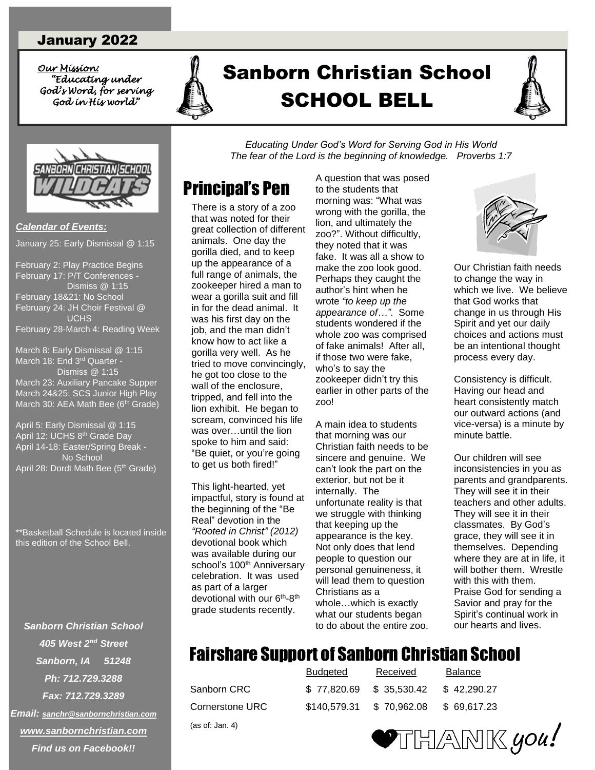#### January 2022

*Our Mission: Our Mission: "Educating under God's Word, for serving God in His world"* 



# *<u>"King under</u>* A Sanborn Christian School SCHOOL BELL SCHOOL BELL





*Calendar of Events:* January 25: Early Dismissal @ 1:15

February 2: Play Practice Begins February 17: P/T Conferences - Dismiss @ 1:15 February 18&21: No School February 24: JH Choir Festival @ **UCHS** February 28-March 4: Reading Week

March 8: Early Dismissal @ 1:15 March 18: End 3<sup>rd</sup> Quarter - Dismiss @ 1:15 March 23: Auxiliary Pancake Supper March 24&25: SCS Junior High Play March 30: AEA Math Bee (6<sup>th</sup> Grade)

April 5: Early Dismissal @ 1:15 April 12: UCHS 8<sup>th</sup> Grade Day April 14-18: Easter/Spring Break - No School April 28: Dordt Math Bee (5<sup>th</sup> Grade)

\*\*Basketball Schedule is located inside this edition of the School Bell.

*Sanborn Christian School 405 West 2nd Street Sanborn, IA 51248 Ph: 712.729.3288 Fax: 712.729.3289 Email: [sanchr@sanbornchristian.com](mailto:sanchr@sanbornchristian.com) [www.sanbornchristian.com](http://www.sanbornchristian.com/) Find us on Facebook!!*

*Educating Under God's Word for Serving God in His World The fear of the Lord is the beginning of knowledge. Proverbs 1:7*

# Principal's Pen

There is a story of a zoo that was noted for their great collection of different animals. One day the gorilla died, and to keep up the appearance of a full range of animals, the zookeeper hired a man to wear a gorilla suit and fill in for the dead animal. It was his first day on the job, and the man didn't know how to act like a gorilla very well. As he tried to move convincingly, he got too close to the wall of the enclosure, tripped, and fell into the lion exhibit. He began to scream, convinced his life was over…until the lion spoke to him and said: "Be quiet, or you're going to get us both fired!"

This light-hearted, yet impactful, story is found at the beginning of the "Be Real" devotion in the *"Rooted in Christ" (2012)* devotional book which was available during our school's 100<sup>th</sup> Anniversary celebration. It was used as part of a larger devotional with our 6<sup>th</sup>-8<sup>th</sup> grade students recently.

A question that was posed to the students that morning was: "What was wrong with the gorilla, the lion, and ultimately the zoo?". Without difficultly, they noted that it was fake. It was all a show to make the zoo look good. Perhaps they caught the author's hint when he wrote *"to keep up the appearance of…"*. Some students wondered if the whole zoo was comprised of fake animals! After all, if those two were fake, who's to say the zookeeper didn't try this earlier in other parts of the zoo!

A main idea to students that morning was our Christian faith needs to be sincere and genuine. We can't look the part on the exterior, but not be it internally. The unfortunate reality is that we struggle with thinking that keeping up the appearance is the key. Not only does that lend people to question our personal genuineness, it will lead them to question Christians as a whole…which is exactly what our students began to do about the entire zoo.



Our Christian faith needs to change the way in which we live. We believe that God works that change in us through His Spirit and yet our daily choices and actions must be an intentional thought process every day.

Consistency is difficult. Having our head and heart consistently match our outward actions (and vice-versa) is a minute by minute battle.

Our children will see inconsistencies in you as parents and grandparents. They will see it in their teachers and other adults. They will see it in their classmates. By God's grace, they will see it in themselves. Depending where they are at in life, it will bother them. Wrestle with this with them. Praise God for sending a Savior and pray for the Spirit's continual work in our hearts and lives.

# **Fairshare Support of Sanborn Christian School**

(as of: Jan. 4)

|                 | Budgeted     | Received    | <b>Balance</b> |
|-----------------|--------------|-------------|----------------|
| Sanborn CRC     | \$77.820.69  | \$35.530.42 | \$42,290.27    |
| Cornerstone URC | \$140,579.31 | \$70.962.08 | \$69.617.23    |

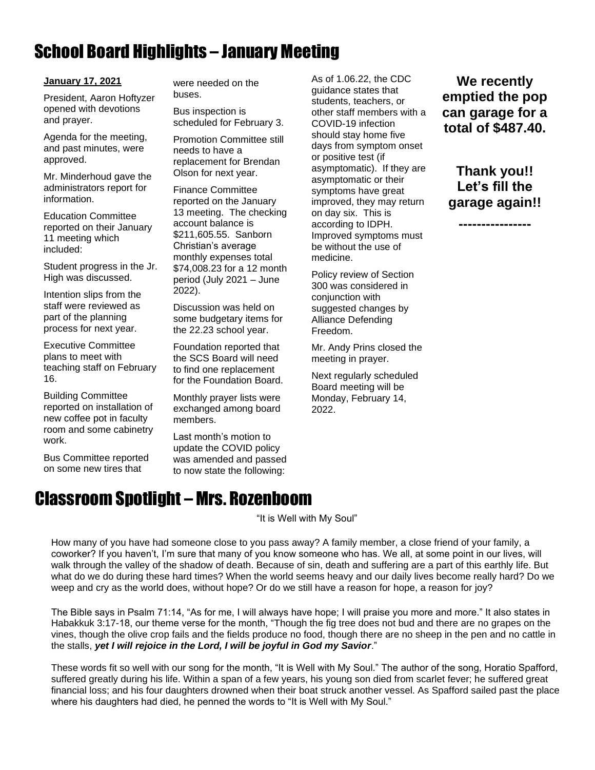# School Board Highlights – January Meeting

#### **January 17, 2021**

President, Aaron Hoftyzer opened with devotions and prayer.

Agenda for the meeting, and past minutes, were approved.

Mr. Minderhoud gave the administrators report for information.

Education Committee reported on their January 11 meeting which included:

Student progress in the Jr. High was discussed.

Intention slips from the staff were reviewed as part of the planning process for next year.

Executive Committee plans to meet with teaching staff on February 16.

Building Committee reported on installation of new coffee pot in faculty room and some cabinetry work.

Bus Committee reported on some new tires that

were needed on the buses.

Bus inspection is scheduled for February 3.

Promotion Committee still needs to have a replacement for Brendan Olson for next year.

Finance Committee reported on the January 13 meeting. The checking account balance is \$211,605.55. Sanborn Christian's average monthly expenses total \$74,008.23 for a 12 month period (July 2021 – June 2022).

Discussion was held on some budgetary items for the 22.23 school year.

Foundation reported that the SCS Board will need to find one replacement for the Foundation Board.

Monthly prayer lists were exchanged among board members.

Last month's motion to update the COVID policy was amended and passed to now state the following:

Classroom Spotlight – Mrs. Rozenboom

As of 1.06.22, the CDC guidance states that students, teachers, or other staff members with a COVID-19 infection should stay home five days from symptom onset or positive test (if asymptomatic). If they are asymptomatic or their symptoms have great improved, they may return on day six. This is according to IDPH. Improved symptoms must be without the use of medicine.

Policy review of Section 300 was considered in conjunction with suggested changes by Alliance Defending Freedom.

Mr. Andy Prins closed the meeting in prayer.

Next regularly scheduled Board meeting will be Monday, February 14, 2022.

**We recently emptied the pop can garage for a total of \$487.40.**

**Thank you!! Let's fill the garage again!!**

**----------------**

"It is Well with My Soul"

How many of you have had someone close to you pass away? A family member, a close friend of your family, a coworker? If you haven't, I'm sure that many of you know someone who has. We all, at some point in our lives, will walk through the valley of the shadow of death. Because of sin, death and suffering are a part of this earthly life. But what do we do during these hard times? When the world seems heavy and our daily lives become really hard? Do we weep and cry as the world does, without hope? Or do we still have a reason for hope, a reason for joy?

The Bible says in Psalm 71:14, "As for me, I will always have hope; I will praise you more and more." It also states in Habakkuk 3:17-18, our theme verse for the month, "Though the fig tree does not bud and there are no grapes on the vines, though the olive crop fails and the fields produce no food, though there are no sheep in the pen and no cattle in the stalls, *yet I will rejoice in the Lord, I will be joyful in God my Savior*."

These words fit so well with our song for the month, "It is Well with My Soul." The author of the song, Horatio Spafford, suffered greatly during his life. Within a span of a few years, his young son died from scarlet fever; he suffered great financial loss; and his four daughters drowned when their boat struck another vessel. As Spafford sailed past the place where his daughters had died, he penned the words to "It is Well with My Soul."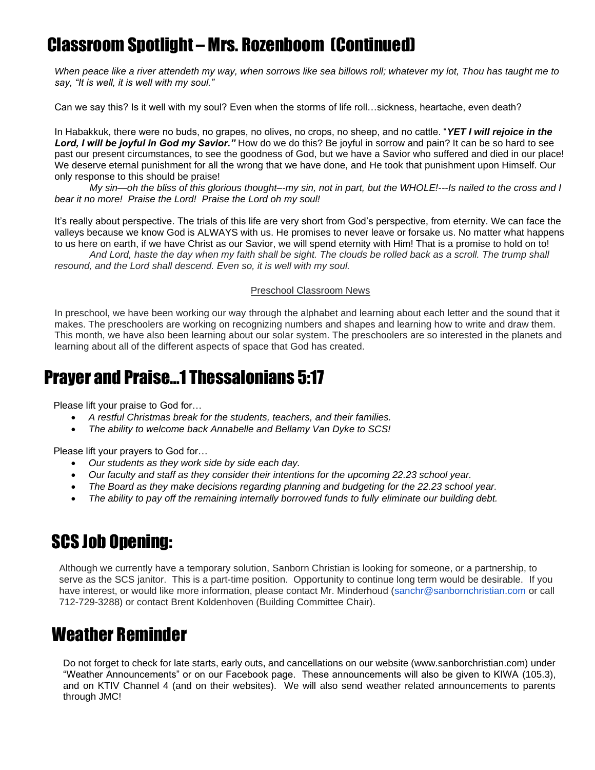## Classroom Spotlight – Mrs. Rozenboom (Continued)

*When peace like a river attendeth my way, when sorrows like sea billows roll; whatever my lot, Thou has taught me to say, "It is well, it is well with my soul."*

Can we say this? Is it well with my soul? Even when the storms of life roll…sickness, heartache, even death?

In Habakkuk, there were no buds, no grapes, no olives, no crops, no sheep, and no cattle. "*YET I will rejoice in the Lord, I will be joyful in God my Savior."* How do we do this? Be joyful in sorrow and pain? It can be so hard to see past our present circumstances, to see the goodness of God, but we have a Savior who suffered and died in our place! We deserve eternal punishment for all the wrong that we have done, and He took that punishment upon Himself. Our only response to this should be praise!

*My sin—oh the bliss of this glorious thought–-my sin, not in part, but the WHOLE!---Is nailed to the cross and I bear it no more! Praise the Lord! Praise the Lord oh my soul!* 

It's really about perspective. The trials of this life are very short from God's perspective, from eternity. We can face the valleys because we know God is ALWAYS with us. He promises to never leave or forsake us. No matter what happens to us here on earth, if we have Christ as our Savior, we will spend eternity with Him! That is a promise to hold on to!

*And Lord, haste the day when my faith shall be sight. The clouds be rolled back as a scroll. The trump shall resound, and the Lord shall descend. Even so, it is well with my soul.*

#### Preschool Classroom News

In preschool, we have been working our way through the alphabet and learning about each letter and the sound that it makes. The preschoolers are working on recognizing numbers and shapes and learning how to write and draw them. This month, we have also been learning about our solar system. The preschoolers are so interested in the planets and learning about all of the different aspects of space that God has created.

#### Prayer and Praise…1 Thessalonians 5:17

Please lift your praise to God for…

- *A restful Christmas break for the students, teachers, and their families.*
- *The ability to welcome back Annabelle and Bellamy Van Dyke to SCS!*

Please lift your prayers to God for…

- *Our students as they work side by side each day.*
- *Our faculty and staff as they consider their intentions for the upcoming 22.23 school year.*
- *The Board as they make decisions regarding planning and budgeting for the 22.23 school year.*
- *The ability to pay off the remaining internally borrowed funds to fully eliminate our building debt.*

## SCS Job Opening:

Although we currently have a temporary solution, Sanborn Christian is looking for someone, or a partnership, to serve as the SCS janitor. This is a part-time position. Opportunity to continue long term would be desirable. If you have interest, or would like more information, please contact Mr. Minderhoud (sanchr@sanbornchristian.com or call 712-729-3288) or contact Brent Koldenhoven (Building Committee Chair).

#### Weather Reminder

Do not forget to check for late starts, early outs, and cancellations on our website (www.sanborchristian.com) under "Weather Announcements" or on our Facebook page. These announcements will also be given to KIWA (105.3), and on KTIV Channel 4 (and on their websites). We will also send weather related announcements to parents through JMC!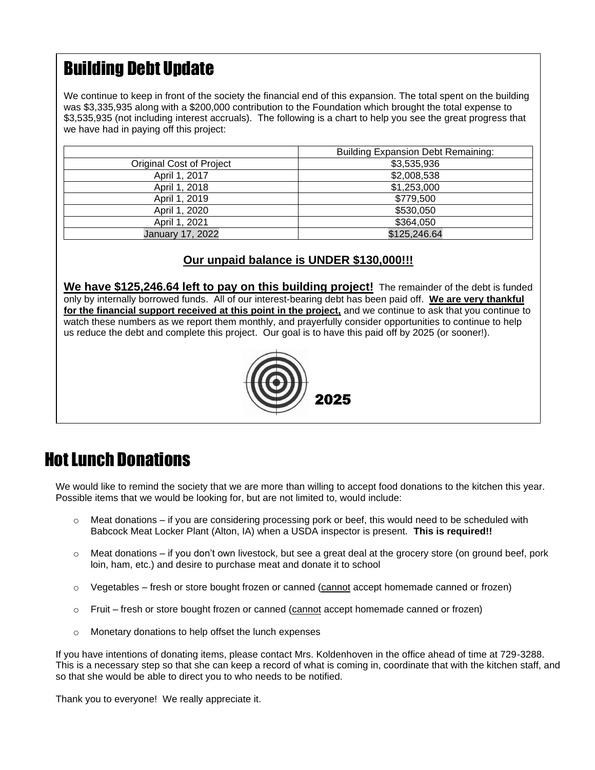# Building Debt Update

We continue to keep in front of the society the financial end of this expansion. The total spent on the building was \$3,335,935 along with a \$200,000 contribution to the Foundation which brought the total expense to \$3,535,935 (not including interest accruals). The following is a chart to help you see the great progress that we have had in paying off this project:

|                                  | <b>Building Expansion Debt Remaining:</b> |  |
|----------------------------------|-------------------------------------------|--|
| Original Cost of Project         | \$3,535,936                               |  |
| April 1, 2017                    | \$2,008,538                               |  |
| April 1, 2018                    | \$1,253,000                               |  |
| April 1, 2019                    | \$779,500                                 |  |
| April 1, 2020                    | \$530,050                                 |  |
| April 1, 2021                    | \$364,050                                 |  |
| \$125,246.64<br>January 17, 2022 |                                           |  |

#### **Our unpaid balance is UNDER \$130,000!!!**

**We have \$125,246.64 left to pay on this building project!** The remainder of the debt is funded only by internally borrowed funds. All of our interest-bearing debt has been paid off. **We are very thankful for the financial support received at this point in the project,** and we continue to ask that you continue to watch these numbers as we report them monthly, and prayerfully consider opportunities to continue to help us reduce the debt and complete this project. Our goal is to have this paid off by 2025 (or sooner!).



## Hot Lunch Donations

We would like to remind the society that we are more than willing to accept food donations to the kitchen this year. Possible items that we would be looking for, but are not limited to, would include:

- $\circ$  Meat donations if you are considering processing pork or beef, this would need to be scheduled with Babcock Meat Locker Plant (Alton, IA) when a USDA inspector is present. **This is required!!**
- $\circ$  Meat donations if you don't own livestock, but see a great deal at the grocery store (on ground beef, pork loin, ham, etc.) and desire to purchase meat and donate it to school
- $\circ$  Vegetables fresh or store bought frozen or canned (cannot accept homemade canned or frozen)
- o Fruit fresh or store bought frozen or canned (cannot accept homemade canned or frozen)
- o Monetary donations to help offset the lunch expenses

If you have intentions of donating items, please contact Mrs. Koldenhoven in the office ahead of time at 729-3288. This is a necessary step so that she can keep a record of what is coming in, coordinate that with the kitchen staff, and so that she would be able to direct you to who needs to be notified.

Thank you to everyone! We really appreciate it.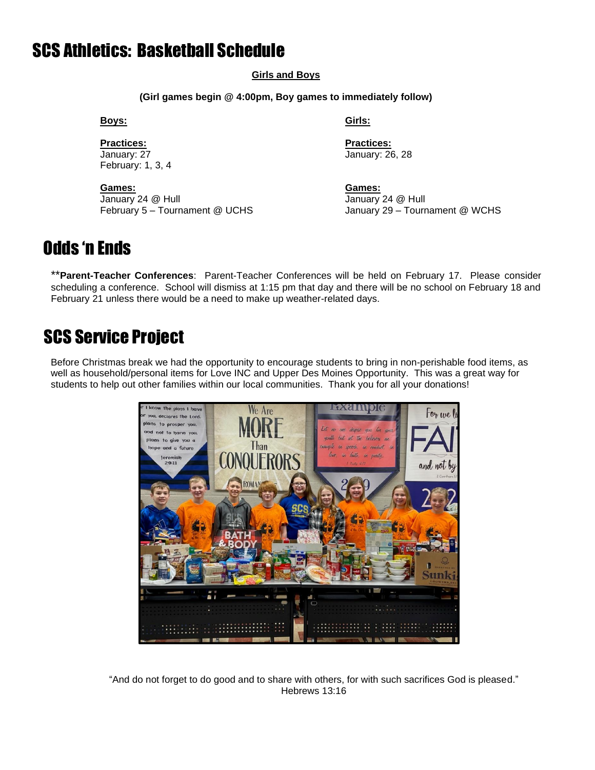#### SCS Athletics: Basketball Schedule

#### **Girls and Boys**

**(Girl games begin @ 4:00pm, Boy games to immediately follow)**

**Boys:****Girls:**

**Practices: Practices:** January: 27 January: 26, 28 February: 1, 3, 4

**Games: Games:** January 24 @ Hull January 24 @ Hull

February 5 – Tournament @ UCHS January 29 – Tournament @ WCHS

#### Odds 'n Ends

\*\***Parent-Teacher Conferences**: Parent-Teacher Conferences will be held on February 17. Please consider scheduling a conference. School will dismiss at 1:15 pm that day and there will be no school on February 18 and February 21 unless there would be a need to make up weather-related days.

#### SCS Service Project

Before Christmas break we had the opportunity to encourage students to bring in non-perishable food items, as well as household/personal items for Love INC and Upper Des Moines Opportunity. This was a great way for students to help out other families within our local communities. Thank you for all your donations!



"And do not forget to do good and to share with others, for with such sacrifices God is pleased." Hebrews 13:16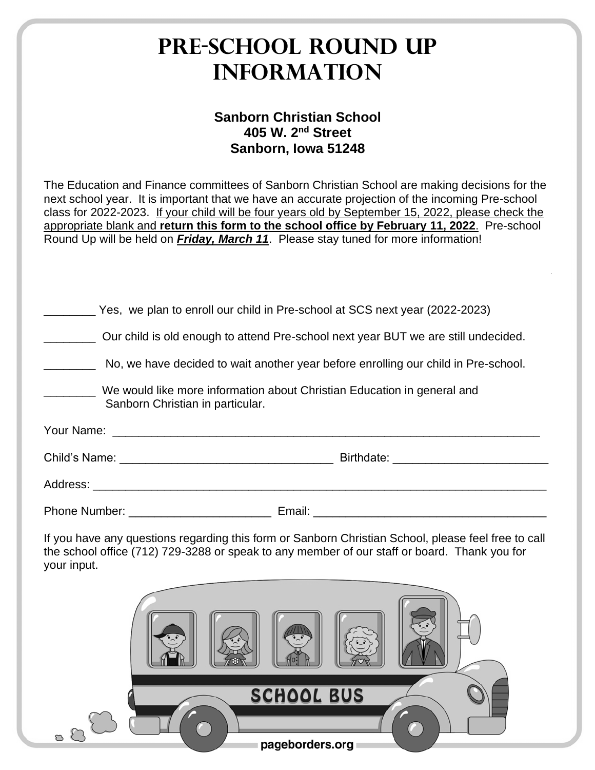| <b>PRE-SCHOOL ROUND UP</b><br><b>INFORMATION</b>                                                                                                                                                                                                                                                                                                                                                                                                                                                     |  |  |  |
|------------------------------------------------------------------------------------------------------------------------------------------------------------------------------------------------------------------------------------------------------------------------------------------------------------------------------------------------------------------------------------------------------------------------------------------------------------------------------------------------------|--|--|--|
| <b>Sanborn Christian School</b><br>405 W. 2 <sup>nd</sup> Street<br>Sanborn, Iowa 51248                                                                                                                                                                                                                                                                                                                                                                                                              |  |  |  |
| The Education and Finance committees of Sanborn Christian School are making decisions for the<br>next school year. It is important that we have an accurate projection of the incoming Pre-school<br>class for 2022-2023. If your child will be four years old by September 15, 2022, please check the<br>appropriate blank and return this form to the school office by February 11, 2022. Pre-school<br>Round Up will be held on <b>Friday, March 11</b> . Please stay tuned for more information! |  |  |  |
| Yes, we plan to enroll our child in Pre-school at SCS next year (2022-2023)<br>Our child is old enough to attend Pre-school next year BUT we are still undecided.                                                                                                                                                                                                                                                                                                                                    |  |  |  |
| No, we have decided to wait another year before enrolling our child in Pre-school.<br>We would like more information about Christian Education in general and<br>Sanborn Christian in particular.                                                                                                                                                                                                                                                                                                    |  |  |  |
| Your Name:                                                                                                                                                                                                                                                                                                                                                                                                                                                                                           |  |  |  |
| Child's Name:<br>Birthdate:                                                                                                                                                                                                                                                                                                                                                                                                                                                                          |  |  |  |
|                                                                                                                                                                                                                                                                                                                                                                                                                                                                                                      |  |  |  |
| If you have any questions regarding this form or Sanborn Christian School, please feel free to call<br>the school office (712) 729-3288 or speak to any member of our staff or board. Thank you for<br>your input.                                                                                                                                                                                                                                                                                   |  |  |  |
| <b>SCHOOL BUS</b>                                                                                                                                                                                                                                                                                                                                                                                                                                                                                    |  |  |  |
| $\mathbb C$<br>pageborders.org                                                                                                                                                                                                                                                                                                                                                                                                                                                                       |  |  |  |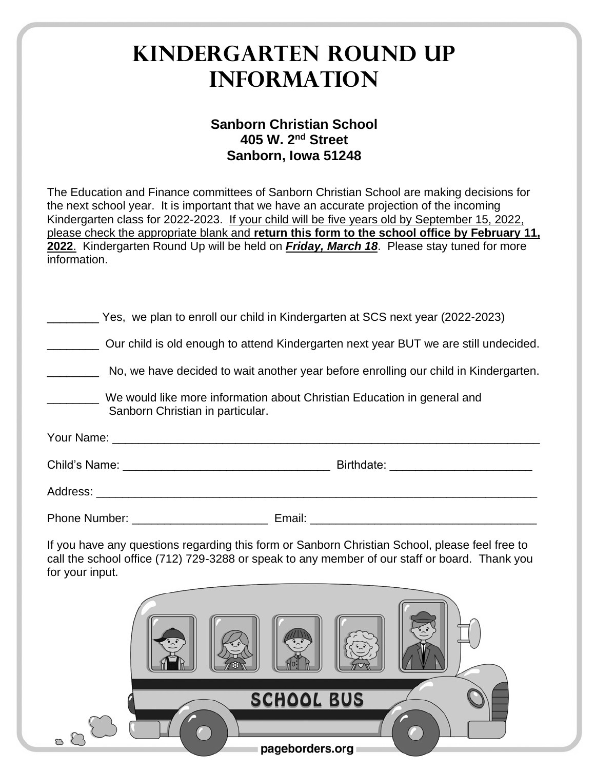# **Kindergarten Round Up Information**

#### **Sanborn Christian School 405 W. 2nd Street Sanborn, Iowa 51248**

The Education and Finance committees of Sanborn Christian School are making decisions for the next school year. It is important that we have an accurate projection of the incoming Kindergarten class for 2022-2023. If your child will be five years old by September 15, 2022, please check the appropriate blank and **return this form to the school office by February 11, 2022**. Kindergarten Round Up will be held on *Friday, March 18*. Please stay tuned for more information.

| Yes, we plan to enroll our child in Kindergarten at SCS next year (2022-2023)                                                                                                                                      |  |  |  |
|--------------------------------------------------------------------------------------------------------------------------------------------------------------------------------------------------------------------|--|--|--|
| Our child is old enough to attend Kindergarten next year BUT we are still undecided.                                                                                                                               |  |  |  |
| No, we have decided to wait another year before enrolling our child in Kindergarten.                                                                                                                               |  |  |  |
| We would like more information about Christian Education in general and<br>Sanborn Christian in particular.                                                                                                        |  |  |  |
|                                                                                                                                                                                                                    |  |  |  |
|                                                                                                                                                                                                                    |  |  |  |
|                                                                                                                                                                                                                    |  |  |  |
|                                                                                                                                                                                                                    |  |  |  |
| If you have any questions regarding this form or Sanborn Christian School, please feel free to<br>call the school office (712) 729-3288 or speak to any member of our staff or board. Thank you<br>for your input. |  |  |  |
| <b>SCHOOL BUS</b><br>menders.org management and menture                                                                                                                                                            |  |  |  |